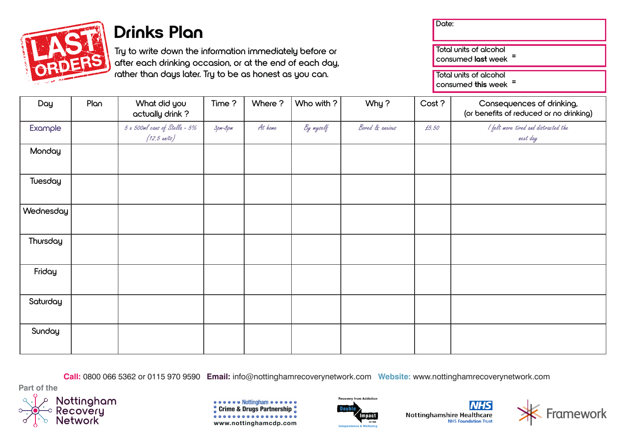

## **Drinks Plan**

**Try to write down the information immediately before or after each drinking occasion, or at the end of each day, rather than days later. Try to be as honest as you can.**

| te:                                              |  |  |  |
|--------------------------------------------------|--|--|--|
| Total units of alcohol<br>consumed last week =   |  |  |  |
| Total units of alcohol<br>consumed this week $=$ |  |  |  |
|                                                  |  |  |  |

| Day       | Plan | What did you<br>actually drink?                         | Time?   | Where ? | Who with ? | Why?            | Cost? | Consequences of drinking,<br>(or benefits of reduced or no drinking) |
|-----------|------|---------------------------------------------------------|---------|---------|------------|-----------------|-------|----------------------------------------------------------------------|
| Example   |      | 5 x 500ml cans of Stella - 5%<br>$(12.5 \text{ units})$ | Зрт-8рт | At home | By myself  | Bored & anxious | £5,50 | I felt more tired and distracted the<br>next day                     |
| Monday    |      |                                                         |         |         |            |                 |       |                                                                      |
| Tuesday   |      |                                                         |         |         |            |                 |       |                                                                      |
| Wednesday |      |                                                         |         |         |            |                 |       |                                                                      |
| Thursday  |      |                                                         |         |         |            |                 |       |                                                                      |
| Friday    |      |                                                         |         |         |            |                 |       |                                                                      |
| Saturday  |      |                                                         |         |         |            |                 |       |                                                                      |
| Sunday    |      |                                                         |         |         |            |                 |       |                                                                      |

**Call:** 0800 066 5362 or 0115 970 9590 **Email:** info@nottinghamrecoverynetwork.com **Website:** www.nottinghamrecoverynetwork.com

**Part of the**











**Nottinghamshire Healthcare**